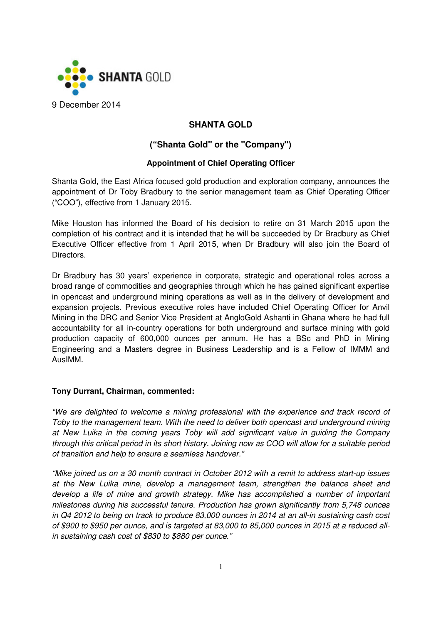

# **SHANTA GOLD**

# **("Shanta Gold" or the "Company")**

## **Appointment of Chief Operating Officer**

Shanta Gold, the East Africa focused gold production and exploration company, announces the appointment of Dr Toby Bradbury to the senior management team as Chief Operating Officer ("COO"), effective from 1 January 2015.

Mike Houston has informed the Board of his decision to retire on 31 March 2015 upon the completion of his contract and it is intended that he will be succeeded by Dr Bradbury as Chief Executive Officer effective from 1 April 2015, when Dr Bradbury will also join the Board of Directors.

Dr Bradbury has 30 years' experience in corporate, strategic and operational roles across a broad range of commodities and geographies through which he has gained significant expertise in opencast and underground mining operations as well as in the delivery of development and expansion projects. Previous executive roles have included Chief Operating Officer for Anvil Mining in the DRC and Senior Vice President at AngloGold Ashanti in Ghana where he had full accountability for all in-country operations for both underground and surface mining with gold production capacity of 600,000 ounces per annum. He has a BSc and PhD in Mining Engineering and a Masters degree in Business Leadership and is a Fellow of IMMM and AusIMM.

## **Tony Durrant, Chairman, commented:**

"We are delighted to welcome a mining professional with the experience and track record of Toby to the management team. With the need to deliver both opencast and underground mining at New Luika in the coming years Toby will add significant value in guiding the Company through this critical period in its short history. Joining now as COO will allow for a suitable period of transition and help to ensure a seamless handover."

"Mike joined us on a 30 month contract in October 2012 with a remit to address start-up issues at the New Luika mine, develop a management team, strengthen the balance sheet and develop a life of mine and growth strategy. Mike has accomplished a number of important milestones during his successful tenure. Production has grown significantly from 5,748 ounces in Q4 2012 to being on track to produce 83,000 ounces in 2014 at an all-in sustaining cash cost of \$900 to \$950 per ounce, and is targeted at 83,000 to 85,000 ounces in 2015 at a reduced allin sustaining cash cost of \$830 to \$880 per ounce."